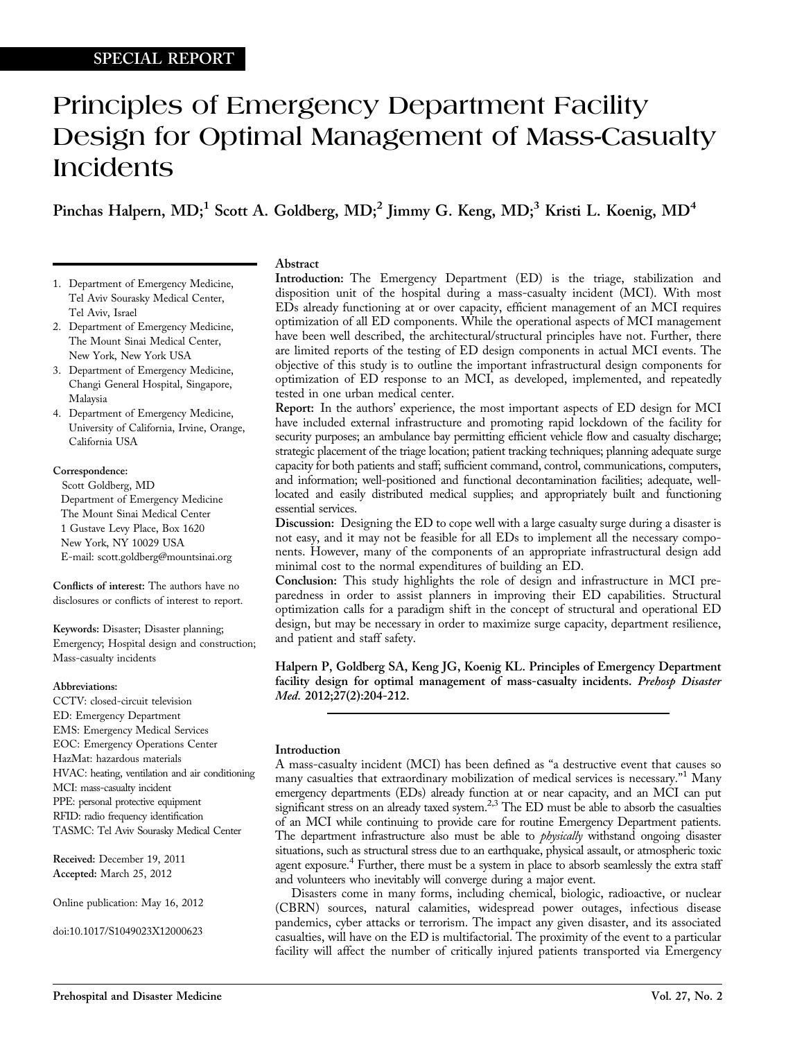# Principles of Emergency Department Facility Design for Optimal Management of Mass-Casualty Incidents

# Pinchas Halpern, MD;<sup>1</sup> Scott A. Goldberg, MD;<sup>2</sup> Jimmy G. Keng, MD;<sup>3</sup> Kristi L. Koenig, MD<sup>4</sup>

- 1. Department of Emergency Medicine, Tel Aviv Sourasky Medical Center, Tel Aviv, Israel
- 2. Department of Emergency Medicine, The Mount Sinai Medical Center, New York, New York USA
- 3. Department of Emergency Medicine, Changi General Hospital, Singapore, Malaysia
- 4. Department of Emergency Medicine, University of California, Irvine, Orange, California USA

# Correspondence:

Scott Goldberg, MD Department of Emergency Medicine The Mount Sinai Medical Center 1 Gustave Levy Place, Box 1620 New York, NY 10029 USA E-mail: scott.goldberg@mountsinai.org

Conflicts of interest: The authors have no disclosures or conflicts of interest to report.

Keywords: Disaster; Disaster planning; Emergency; Hospital design and construction; Mass-casualty incidents

# Abbreviations:

CCTV: closed-circuit television ED: Emergency Department EMS: Emergency Medical Services EOC: Emergency Operations Center HazMat: hazardous materials HVAC: heating, ventilation and air conditioning MCI: mass-casualty incident PPE: personal protective equipment RFID: radio frequency identification TASMC: Tel Aviv Sourasky Medical Center

Received: December 19, 2011 Accepted: March 25, 2012

Online publication: May 16, 2012

doi:10.1017/S1049023X12000623

# **Abstract**

Introduction: The Emergency Department (ED) is the triage, stabilization and disposition unit of the hospital during a mass-casualty incident (MCI). With most EDs already functioning at or over capacity, efficient management of an MCI requires optimization of all ED components. While the operational aspects of MCI management have been well described, the architectural/structural principles have not. Further, there are limited reports of the testing of ED design components in actual MCI events. The objective of this study is to outline the important infrastructural design components for optimization of ED response to an MCI, as developed, implemented, and repeatedly tested in one urban medical center.

Report: In the authors' experience, the most important aspects of ED design for MCI have included external infrastructure and promoting rapid lockdown of the facility for security purposes; an ambulance bay permitting efficient vehicle flow and casualty discharge; strategic placement of the triage location; patient tracking techniques; planning adequate surge capacity for both patients and staff; sufficient command, control, communications, computers, and information; well-positioned and functional decontamination facilities; adequate, welllocated and easily distributed medical supplies; and appropriately built and functioning essential services.

Discussion: Designing the ED to cope well with a large casualty surge during a disaster is not easy, and it may not be feasible for all EDs to implement all the necessary components. However, many of the components of an appropriate infrastructural design add minimal cost to the normal expenditures of building an ED.

Conclusion: This study highlights the role of design and infrastructure in MCI preparedness in order to assist planners in improving their ED capabilities. Structural optimization calls for a paradigm shift in the concept of structural and operational ED design, but may be necessary in order to maximize surge capacity, department resilience, and patient and staff safety.

Halpern P, Goldberg SA, Keng JG, Koenig KL. Principles of Emergency Department facility design for optimal management of mass-casualty incidents. Prehosp Disaster Med. 2012;27(2):204-212.

# **Introduction**

A mass-casualty incident (MCI) has been defined as ''a destructive event that causes so many casualties that extraordinary mobilization of medical services is necessary."<sup>1</sup> Many emergency departments (EDs) already function at or near capacity, and an MCI can put significant stress on an already taxed system.<sup>2,3</sup> The ED must be able to absorb the casualties of an MCI while continuing to provide care for routine Emergency Department patients. The department infrastructure also must be able to *physically* withstand ongoing disaster situations, such as structural stress due to an earthquake, physical assault, or atmospheric toxic agent exposure.<sup>4</sup> Further, there must be a system in place to absorb seamlessly the extra staff and volunteers who inevitably will converge during a major event.

Disasters come in many forms, including chemical, biologic, radioactive, or nuclear (CBRN) sources, natural calamities, widespread power outages, infectious disease pandemics, cyber attacks or terrorism. The impact any given disaster, and its associated casualties, will have on the ED is multifactorial. The proximity of the event to a particular facility will affect the number of critically injured patients transported via Emergency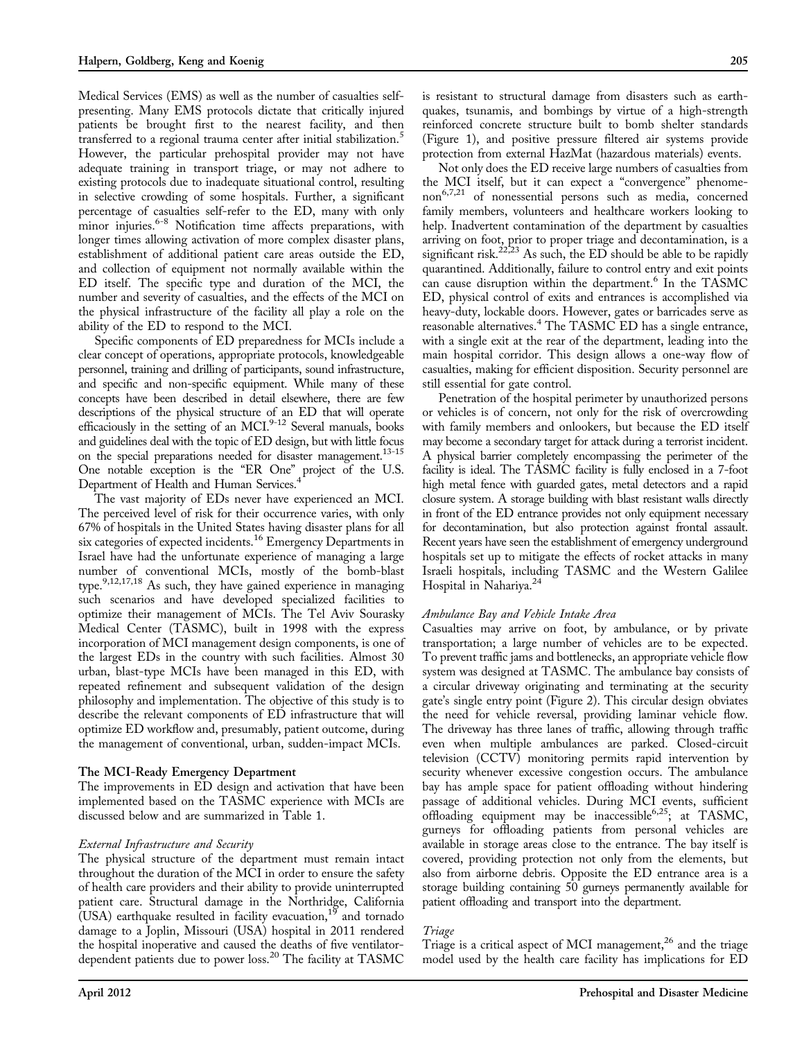Medical Services (EMS) as well as the number of casualties selfpresenting. Many EMS protocols dictate that critically injured patients be brought first to the nearest facility, and then transferred to a regional trauma center after initial stabilization.<sup>5</sup> However, the particular prehospital provider may not have adequate training in transport triage, or may not adhere to existing protocols due to inadequate situational control, resulting in selective crowding of some hospitals. Further, a significant percentage of casualties self-refer to the ED, many with only minor injuries.<sup>6-8</sup> Notification time affects preparations, with longer times allowing activation of more complex disaster plans, establishment of additional patient care areas outside the ED, and collection of equipment not normally available within the ED itself. The specific type and duration of the MCI, the number and severity of casualties, and the effects of the MCI on the physical infrastructure of the facility all play a role on the ability of the ED to respond to the MCI.

Specific components of ED preparedness for MCIs include a clear concept of operations, appropriate protocols, knowledgeable personnel, training and drilling of participants, sound infrastructure, and specific and non-specific equipment. While many of these concepts have been described in detail elsewhere, there are few descriptions of the physical structure of an ED that will operate efficaciously in the setting of an MCI.<sup>9-12</sup> Several manuals, books and guidelines deal with the topic of ED design, but with little focus on the special preparations needed for disaster management.13-15 One notable exception is the ''ER One'' project of the U.S. Department of Health and Human Services.<sup>4</sup>

The vast majority of EDs never have experienced an MCI. The perceived level of risk for their occurrence varies, with only 67% of hospitals in the United States having disaster plans for all six categories of expected incidents.<sup>16</sup> Emergency Departments in Israel have had the unfortunate experience of managing a large number of conventional MCIs, mostly of the bomb-blast type.<sup>9,12,17,18</sup> As such, they have gained experience in managing such scenarios and have developed specialized facilities to optimize their management of MCIs. The Tel Aviv Sourasky Medical Center (TASMC), built in 1998 with the express incorporation of MCI management design components, is one of the largest EDs in the country with such facilities. Almost 30 urban, blast-type MCIs have been managed in this ED, with repeated refinement and subsequent validation of the design philosophy and implementation. The objective of this study is to describe the relevant components of ED infrastructure that will optimize ED workflow and, presumably, patient outcome, during the management of conventional, urban, sudden-impact MCIs.

# The MCI-Ready Emergency Department

The improvements in ED design and activation that have been implemented based on the TASMC experience with MCIs are discussed below and are summarized in Table 1.

# External Infrastructure and Security

The physical structure of the department must remain intact throughout the duration of the MCI in order to ensure the safety of health care providers and their ability to provide uninterrupted patient care. Structural damage in the Northridge, California (USA) earthquake resulted in facility evacuation,<sup>19</sup> and tornado damage to a Joplin, Missouri (USA) hospital in 2011 rendered the hospital inoperative and caused the deaths of five ventilatordependent patients due to power loss.<sup>20</sup> The facility at TASMC

is resistant to structural damage from disasters such as earthquakes, tsunamis, and bombings by virtue of a high-strength reinforced concrete structure built to bomb shelter standards (Figure 1), and positive pressure filtered air systems provide protection from external HazMat (hazardous materials) events.

Not only does the ED receive large numbers of casualties from the MCI itself, but it can expect a ''convergence'' phenomenon6,7,21 of nonessential persons such as media, concerned family members, volunteers and healthcare workers looking to help. Inadvertent contamination of the department by casualties arriving on foot, prior to proper triage and decontamination, is a significant risk.<sup>22,23</sup> As such, the ED should be able to be rapidly quarantined. Additionally, failure to control entry and exit points can cause disruption within the department.<sup>6</sup> In the TASMC ED, physical control of exits and entrances is accomplished via heavy-duty, lockable doors. However, gates or barricades serve as reasonable alternatives.<sup>4</sup> The TASMC ED has a single entrance, with a single exit at the rear of the department, leading into the main hospital corridor. This design allows a one-way flow of casualties, making for efficient disposition. Security personnel are still essential for gate control.

Penetration of the hospital perimeter by unauthorized persons or vehicles is of concern, not only for the risk of overcrowding with family members and onlookers, but because the ED itself may become a secondary target for attack during a terrorist incident. A physical barrier completely encompassing the perimeter of the facility is ideal. The TASMC facility is fully enclosed in a 7-foot high metal fence with guarded gates, metal detectors and a rapid closure system. A storage building with blast resistant walls directly in front of the ED entrance provides not only equipment necessary for decontamination, but also protection against frontal assault. Recent years have seen the establishment of emergency underground hospitals set up to mitigate the effects of rocket attacks in many Israeli hospitals, including TASMC and the Western Galilee Hospital in Nahariya.<sup>24</sup>

#### Ambulance Bay and Vehicle Intake Area

Casualties may arrive on foot, by ambulance, or by private transportation; a large number of vehicles are to be expected. To prevent traffic jams and bottlenecks, an appropriate vehicle flow system was designed at TASMC. The ambulance bay consists of a circular driveway originating and terminating at the security gate's single entry point (Figure 2). This circular design obviates the need for vehicle reversal, providing laminar vehicle flow. The driveway has three lanes of traffic, allowing through traffic even when multiple ambulances are parked. Closed-circuit television (CCTV) monitoring permits rapid intervention by security whenever excessive congestion occurs. The ambulance bay has ample space for patient offloading without hindering passage of additional vehicles. During MCI events, sufficient offloading equipment may be inaccessible<sup>6,25</sup>; at TASMC, gurneys for offloading patients from personal vehicles are available in storage areas close to the entrance. The bay itself is covered, providing protection not only from the elements, but also from airborne debris. Opposite the ED entrance area is a storage building containing 50 gurneys permanently available for patient offloading and transport into the department.

# Triage

Triage is a critical aspect of MCI management,<sup>26</sup> and the triage model used by the health care facility has implications for ED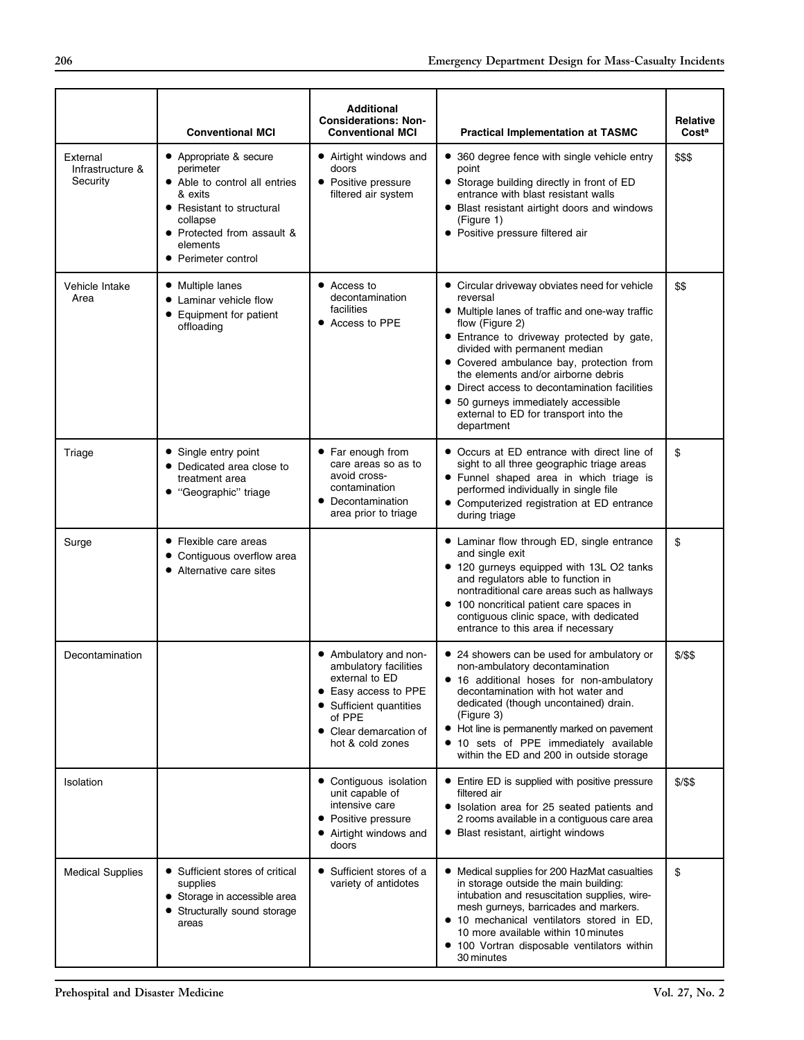|                                          | <b>Conventional MCI</b>                                                                                                                                                                   | <b>Additional</b><br><b>Considerations: Non-</b><br><b>Conventional MCI</b>                                                                                                 | <b>Practical Implementation at TASMC</b>                                                                                                                                                                                                                                                                                                                                                                                                      | Relative<br>Cost <sup>a</sup> |
|------------------------------------------|-------------------------------------------------------------------------------------------------------------------------------------------------------------------------------------------|-----------------------------------------------------------------------------------------------------------------------------------------------------------------------------|-----------------------------------------------------------------------------------------------------------------------------------------------------------------------------------------------------------------------------------------------------------------------------------------------------------------------------------------------------------------------------------------------------------------------------------------------|-------------------------------|
| External<br>Infrastructure &<br>Security | • Appropriate & secure<br>perimeter<br>• Able to control all entries<br>& exits<br>• Resistant to structural<br>collapse<br>• Protected from assault &<br>elements<br>• Perimeter control | • Airtight windows and<br>doors<br>• Positive pressure<br>filtered air system                                                                                               | 360 degree fence with single vehicle entry<br>point<br>• Storage building directly in front of ED<br>entrance with blast resistant walls<br>• Blast resistant airtight doors and windows<br>(Figure 1)<br>• Positive pressure filtered air                                                                                                                                                                                                    | \$\$\$                        |
| Vehicle Intake<br>Area                   | • Multiple lanes<br>• Laminar vehicle flow<br>• Equipment for patient<br>offloading                                                                                                       | • Access to<br>decontamination<br>facilities<br>Access to PPE                                                                                                               | • Circular driveway obviates need for vehicle<br>reversal<br>• Multiple lanes of traffic and one-way traffic<br>flow (Figure 2)<br>• Entrance to driveway protected by gate,<br>divided with permanent median<br>• Covered ambulance bay, protection from<br>the elements and/or airborne debris<br>• Direct access to decontamination facilities<br>50 gurneys immediately accessible<br>external to ED for transport into the<br>department | \$\$                          |
| Triage                                   | • Single entry point<br>• Dedicated area close to<br>treatment area<br>• "Geographic" triage                                                                                              | • Far enough from<br>care areas so as to<br>avoid cross-<br>contamination<br>Decontamination<br>area prior to triage                                                        | Occurs at ED entrance with direct line of<br>sight to all three geographic triage areas<br>• Funnel shaped area in which triage is<br>performed individually in single file<br>Computerized registration at ED entrance<br>during triage                                                                                                                                                                                                      | \$                            |
| Surge                                    | • Flexible care areas<br>Contiguous overflow area<br>$\bullet$<br>• Alternative care sites                                                                                                |                                                                                                                                                                             | • Laminar flow through ED, single entrance<br>and single exit<br>• 120 gurneys equipped with 13L O2 tanks<br>and regulators able to function in<br>nontraditional care areas such as hallways<br>• 100 noncritical patient care spaces in<br>contiguous clinic space, with dedicated<br>entrance to this area if necessary                                                                                                                    | \$                            |
| Decontamination                          |                                                                                                                                                                                           | • Ambulatory and non-<br>ambulatory facilities<br>external to ED<br>• Easy access to PPE<br>• Sufficient quantities<br>of PPE<br>• Clear demarcation of<br>hot & cold zones | • 24 showers can be used for ambulatory or<br>non-ambulatory decontamination<br>• 16 additional hoses for non-ambulatory<br>decontamination with hot water and<br>dedicated (though uncontained) drain.<br>(Figure 3)<br>Hot line is permanently marked on pavement<br>10 sets of PPE immediately available<br>within the ED and 200 in outside storage                                                                                       | \$/\$\$                       |
| Isolation                                |                                                                                                                                                                                           | • Contiguous isolation<br>unit capable of<br>intensive care<br>• Positive pressure<br>Airtight windows and<br>doors                                                         | • Entire ED is supplied with positive pressure<br>filtered air<br>· Isolation area for 25 seated patients and<br>2 rooms available in a contiguous care area<br>Blast resistant, airtight windows                                                                                                                                                                                                                                             | \$ / \$                       |
| <b>Medical Supplies</b>                  | • Sufficient stores of critical<br>supplies<br>• Storage in accessible area<br>Structurally sound storage<br>areas                                                                        | Sufficient stores of a<br>variety of antidotes                                                                                                                              | • Medical supplies for 200 HazMat casualties<br>in storage outside the main building:<br>intubation and resuscitation supplies, wire-<br>mesh gurneys, barricades and markers.<br>• 10 mechanical ventilators stored in ED,<br>10 more available within 10 minutes<br>• 100 Vortran disposable ventilators within<br>30 minutes                                                                                                               | \$                            |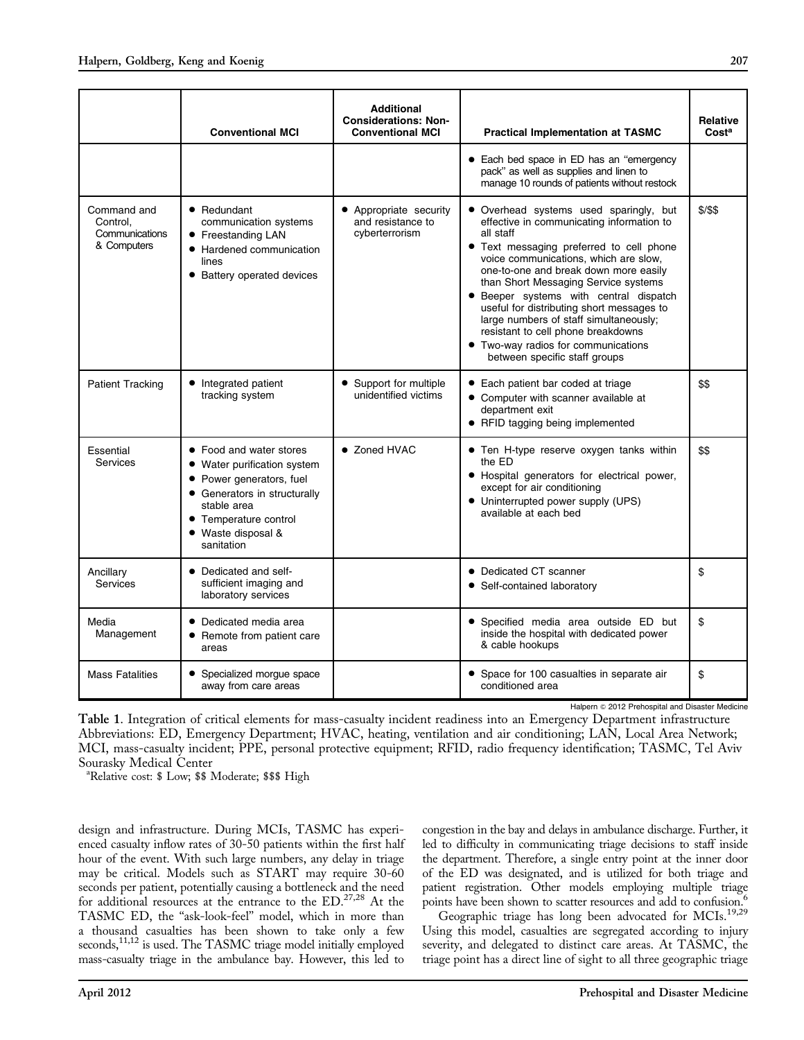|                                                          | <b>Conventional MCI</b>                                                                                                                                                                        | <b>Additional</b><br><b>Considerations: Non-</b><br><b>Conventional MCI</b> | <b>Practical Implementation at TASMC</b>                                                                                                                                                                                                                                                                                                                                                                                                                                                                              | Relative<br>Cost <sup>a</sup> |
|----------------------------------------------------------|------------------------------------------------------------------------------------------------------------------------------------------------------------------------------------------------|-----------------------------------------------------------------------------|-----------------------------------------------------------------------------------------------------------------------------------------------------------------------------------------------------------------------------------------------------------------------------------------------------------------------------------------------------------------------------------------------------------------------------------------------------------------------------------------------------------------------|-------------------------------|
|                                                          |                                                                                                                                                                                                |                                                                             | • Each bed space in ED has an "emergency"<br>pack" as well as supplies and linen to<br>manage 10 rounds of patients without restock                                                                                                                                                                                                                                                                                                                                                                                   |                               |
| Command and<br>Control.<br>Communications<br>& Computers | • Redundant<br>communication systems<br>• Freestanding LAN<br>• Hardened communication<br>lines<br>• Battery operated devices                                                                  | • Appropriate security<br>and resistance to<br>cyberterrorism               | · Overhead systems used sparingly, but<br>effective in communicating information to<br>all staff<br>• Text messaging preferred to cell phone<br>voice communications, which are slow,<br>one-to-one and break down more easily<br>than Short Messaging Service systems<br>• Beeper systems with central dispatch<br>useful for distributing short messages to<br>large numbers of staff simultaneously;<br>resistant to cell phone breakdowns<br>• Two-way radios for communications<br>between specific staff groups | $$$ /\$\$                     |
| <b>Patient Tracking</b>                                  | • Integrated patient<br>tracking system                                                                                                                                                        | • Support for multiple<br>unidentified victims                              | • Each patient bar coded at triage<br>• Computer with scanner available at<br>department exit<br>• RFID tagging being implemented                                                                                                                                                                                                                                                                                                                                                                                     | \$\$                          |
| Essential<br>Services                                    | • Food and water stores<br>• Water purification system<br>• Power generators, fuel<br>• Generators in structurally<br>stable area<br>• Temperature control<br>• Waste disposal &<br>sanitation | • Zoned HVAC                                                                | • Ten H-type reserve oxygen tanks within<br>the ED<br>· Hospital generators for electrical power,<br>except for air conditioning<br>• Uninterrupted power supply (UPS)<br>available at each bed                                                                                                                                                                                                                                                                                                                       | \$\$                          |
| Ancillary<br>Services                                    | • Dedicated and self-<br>sufficient imaging and<br>laboratory services                                                                                                                         |                                                                             | • Dedicated CT scanner<br>• Self-contained laboratory                                                                                                                                                                                                                                                                                                                                                                                                                                                                 | \$                            |
| Media<br>Management                                      | Dedicated media area<br>Remote from patient care<br>areas                                                                                                                                      |                                                                             | · Specified media area outside ED but<br>inside the hospital with dedicated power<br>& cable hookups                                                                                                                                                                                                                                                                                                                                                                                                                  | \$                            |
| <b>Mass Fatalities</b>                                   | Specialized morgue space<br>away from care areas                                                                                                                                               |                                                                             | Space for 100 casualties in separate air<br>conditioned area                                                                                                                                                                                                                                                                                                                                                                                                                                                          | \$                            |

Halpern @ 2012 Prehospital and Disaster Medicine

Table 1. Integration of critical elements for mass-casualty incident readiness into an Emergency Department infrastructure Abbreviations: ED, Emergency Department; HVAC, heating, ventilation and air conditioning; LAN, Local Area Network; MCI, mass-casualty incident; PPE, personal protective equipment; RFID, radio frequency identification; TASMC, Tel Aviv Sourasky Medical Center

a Relative cost: \$ Low; \$\$ Moderate; \$\$\$ High

design and infrastructure. During MCIs, TASMC has experienced casualty inflow rates of 30-50 patients within the first half hour of the event. With such large numbers, any delay in triage may be critical. Models such as START may require 30-60 seconds per patient, potentially causing a bottleneck and the need for additional resources at the entrance to the ED.27,28 At the TASMC ED, the "ask-look-feel" model, which in more than a thousand casualties has been shown to take only a few seconds,<sup>11,12</sup> is used. The TASMC triage model initially employed mass-casualty triage in the ambulance bay. However, this led to

congestion in the bay and delays in ambulance discharge. Further, it led to difficulty in communicating triage decisions to staff inside the department. Therefore, a single entry point at the inner door of the ED was designated, and is utilized for both triage and patient registration. Other models employing multiple triage points have been shown to scatter resources and add to confusion.

Geographic triage has long been advocated for MCIs.19,29 Using this model, casualties are segregated according to injury severity, and delegated to distinct care areas. At TASMC, the triage point has a direct line of sight to all three geographic triage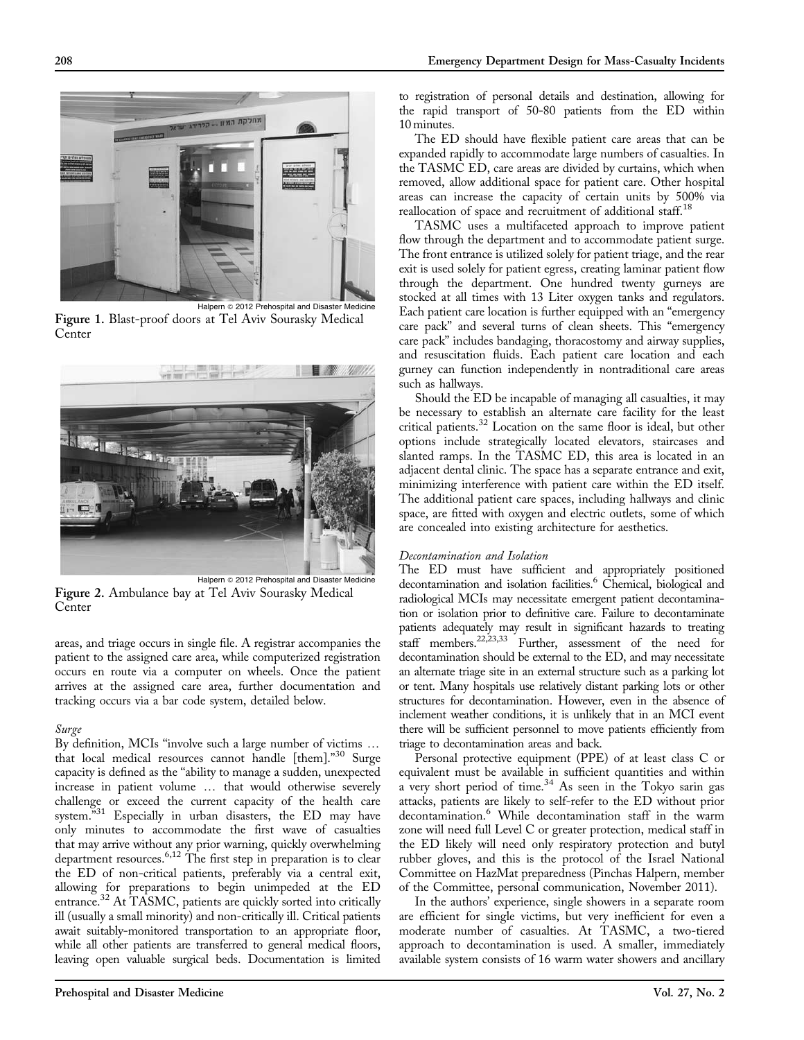to registration of personal details and destination, allowing for the rapid transport of 50-80 patients from the ED within 10 minutes.

The ED should have flexible patient care areas that can be expanded rapidly to accommodate large numbers of casualties. In the TASMC ED, care areas are divided by curtains, which when removed, allow additional space for patient care. Other hospital areas can increase the capacity of certain units by 500% via reallocation of space and recruitment of additional staff.<sup>18</sup>

TASMC uses a multifaceted approach to improve patient flow through the department and to accommodate patient surge. The front entrance is utilized solely for patient triage, and the rear exit is used solely for patient egress, creating laminar patient flow through the department. One hundred twenty gurneys are stocked at all times with 13 Liter oxygen tanks and regulators. Each patient care location is further equipped with an ''emergency care pack'' and several turns of clean sheets. This ''emergency care pack'' includes bandaging, thoracostomy and airway supplies, and resuscitation fluids. Each patient care location and each gurney can function independently in nontraditional care areas such as hallways.

Should the ED be incapable of managing all casualties, it may be necessary to establish an alternate care facility for the least critical patients.<sup>32</sup> Location on the same floor is ideal, but other options include strategically located elevators, staircases and slanted ramps. In the TASMC ED, this area is located in an adjacent dental clinic. The space has a separate entrance and exit, minimizing interference with patient care within the ED itself. The additional patient care spaces, including hallways and clinic space, are fitted with oxygen and electric outlets, some of which are concealed into existing architecture for aesthetics.

#### Decontamination and Isolation

The ED must have sufficient and appropriately positioned decontamination and isolation facilities.<sup>6</sup> Chemical, biological and radiological MCIs may necessitate emergent patient decontamination or isolation prior to definitive care. Failure to decontaminate patients adequately may result in significant hazards to treating staff members.22,23,33 Further, assessment of the need for decontamination should be external to the ED, and may necessitate an alternate triage site in an external structure such as a parking lot or tent. Many hospitals use relatively distant parking lots or other structures for decontamination. However, even in the absence of inclement weather conditions, it is unlikely that in an MCI event there will be sufficient personnel to move patients efficiently from triage to decontamination areas and back.

Personal protective equipment (PPE) of at least class C or equivalent must be available in sufficient quantities and within a very short period of time.<sup>34</sup> As seen in the Tokyo sarin gas attacks, patients are likely to self-refer to the ED without prior decontamination.<sup>6</sup> While decontamination staff in the warm zone will need full Level C or greater protection, medical staff in the ED likely will need only respiratory protection and butyl rubber gloves, and this is the protocol of the Israel National Committee on HazMat preparedness (Pinchas Halpern, member of the Committee, personal communication, November 2011).

In the authors' experience, single showers in a separate room are efficient for single victims, but very inefficient for even a moderate number of casualties. At TASMC, a two-tiered approach to decontamination is used. A smaller, immediately available system consists of 16 warm water showers and ancillary



Halpern @ 2012 Prehospital and Disaster Medicine Figure 2. Ambulance bay at Tel Aviv Sourasky Medical Center

areas, and triage occurs in single file. A registrar accompanies the patient to the assigned care area, while computerized registration occurs en route via a computer on wheels. Once the patient arrives at the assigned care area, further documentation and tracking occurs via a bar code system, detailed below.

# Surge

By definition, MCIs "involve such a large number of victims ... that local medical resources cannot handle [them]."<sup>30</sup> Surge capacity is defined as the ''ability to manage a sudden, unexpected increase in patient volume ... that would otherwise severely challenge or exceed the current capacity of the health care system."<sup>31</sup> Especially in urban disasters, the ED may have only minutes to accommodate the first wave of casualties that may arrive without any prior warning, quickly overwhelming department resources.<sup>6,12</sup> The first step in preparation is to clear the ED of non-critical patients, preferably via a central exit, allowing for preparations to begin unimpeded at the ED entrance.<sup>32</sup> At TASMC, patients are quickly sorted into critically ill (usually a small minority) and non-critically ill. Critical patients await suitably-monitored transportation to an appropriate floor, while all other patients are transferred to general medical floors, leaving open valuable surgical beds. Documentation is limited



Figure 1. Blast-proof doors at Tel Aviv Sourasky Medical

Center

**RANGE AND IN**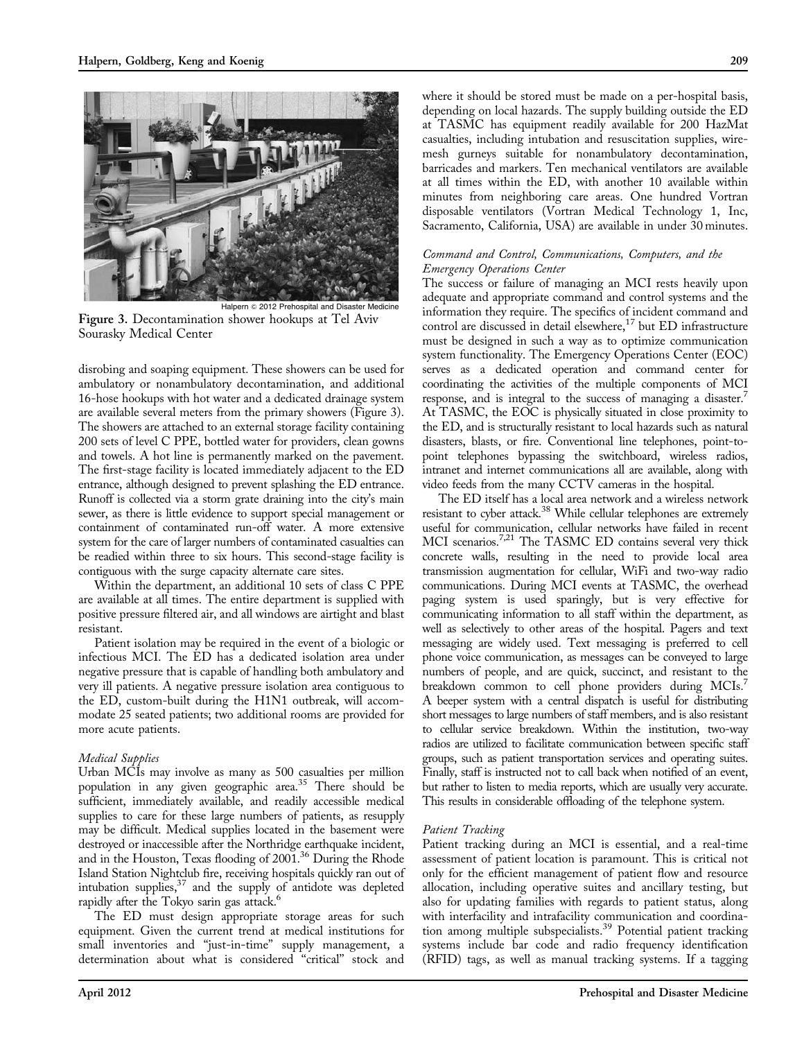



Halpern © 2012 Prehospital and Disa Figure 3. Decontamination shower hookups at Tel Aviv Sourasky Medical Center

disrobing and soaping equipment. These showers can be used for ambulatory or nonambulatory decontamination, and additional 16-hose hookups with hot water and a dedicated drainage system are available several meters from the primary showers (Figure 3). The showers are attached to an external storage facility containing 200 sets of level C PPE, bottled water for providers, clean gowns and towels. A hot line is permanently marked on the pavement. The first-stage facility is located immediately adjacent to the ED entrance, although designed to prevent splashing the ED entrance. Runoff is collected via a storm grate draining into the city's main sewer, as there is little evidence to support special management or containment of contaminated run-off water. A more extensive system for the care of larger numbers of contaminated casualties can be readied within three to six hours. This second-stage facility is contiguous with the surge capacity alternate care sites.

Within the department, an additional 10 sets of class C PPE are available at all times. The entire department is supplied with positive pressure filtered air, and all windows are airtight and blast resistant.

Patient isolation may be required in the event of a biologic or infectious MCI. The ED has a dedicated isolation area under negative pressure that is capable of handling both ambulatory and very ill patients. A negative pressure isolation area contiguous to the ED, custom-built during the H1N1 outbreak, will accommodate 25 seated patients; two additional rooms are provided for more acute patients.

# Medical Supplies

Urban MCIs may involve as many as 500 casualties per million population in any given geographic area.<sup>35</sup> There should be sufficient, immediately available, and readily accessible medical supplies to care for these large numbers of patients, as resupply may be difficult. Medical supplies located in the basement were destroyed or inaccessible after the Northridge earthquake incident, and in the Houston, Texas flooding of 2001.<sup>36</sup> During the Rhode Island Station Nightclub fire, receiving hospitals quickly ran out of intubation supplies,<sup>37</sup> and the supply of antidote was depleted rapidly after the Tokyo sarin gas attack.<sup>6</sup>

The ED must design appropriate storage areas for such equipment. Given the current trend at medical institutions for small inventories and "just-in-time" supply management, a determination about what is considered ''critical'' stock and

where it should be stored must be made on a per-hospital basis, depending on local hazards. The supply building outside the ED at TASMC has equipment readily available for 200 HazMat casualties, including intubation and resuscitation supplies, wiremesh gurneys suitable for nonambulatory decontamination, barricades and markers. Ten mechanical ventilators are available at all times within the ED, with another 10 available within minutes from neighboring care areas. One hundred Vortran disposable ventilators (Vortran Medical Technology 1, Inc, Sacramento, California, USA) are available in under 30 minutes.

# Command and Control, Communications, Computers, and the Emergency Operations Center

The success or failure of managing an MCI rests heavily upon adequate and appropriate command and control systems and the information they require. The specifics of incident command and control are discussed in detail elsewhere,<sup>17</sup> but ED infrastructure must be designed in such a way as to optimize communication system functionality. The Emergency Operations Center (EOC) serves as a dedicated operation and command center for coordinating the activities of the multiple components of MCI response, and is integral to the success of managing a disaster.<sup>7</sup> At TASMC, the EOC is physically situated in close proximity to the ED, and is structurally resistant to local hazards such as natural disasters, blasts, or fire. Conventional line telephones, point-topoint telephones bypassing the switchboard, wireless radios, intranet and internet communications all are available, along with video feeds from the many CCTV cameras in the hospital.

The ED itself has a local area network and a wireless network resistant to cyber attack.<sup>38</sup> While cellular telephones are extremely useful for communication, cellular networks have failed in recent MCI scenarios.7,21 The TASMC ED contains several very thick concrete walls, resulting in the need to provide local area transmission augmentation for cellular, WiFi and two-way radio communications. During MCI events at TASMC, the overhead paging system is used sparingly, but is very effective for communicating information to all staff within the department, as well as selectively to other areas of the hospital. Pagers and text messaging are widely used. Text messaging is preferred to cell phone voice communication, as messages can be conveyed to large numbers of people, and are quick, succinct, and resistant to the breakdown common to cell phone providers during MCIs.<sup>7</sup> A beeper system with a central dispatch is useful for distributing short messages to large numbers of staff members, and is also resistant to cellular service breakdown. Within the institution, two-way radios are utilized to facilitate communication between specific staff groups, such as patient transportation services and operating suites. Finally, staff is instructed not to call back when notified of an event, but rather to listen to media reports, which are usually very accurate. This results in considerable offloading of the telephone system.

# Patient Tracking

Patient tracking during an MCI is essential, and a real-time assessment of patient location is paramount. This is critical not only for the efficient management of patient flow and resource allocation, including operative suites and ancillary testing, but also for updating families with regards to patient status, along with interfacility and intrafacility communication and coordination among multiple subspecialists.<sup>39</sup> Potential patient tracking systems include bar code and radio frequency identification (RFID) tags, as well as manual tracking systems. If a tagging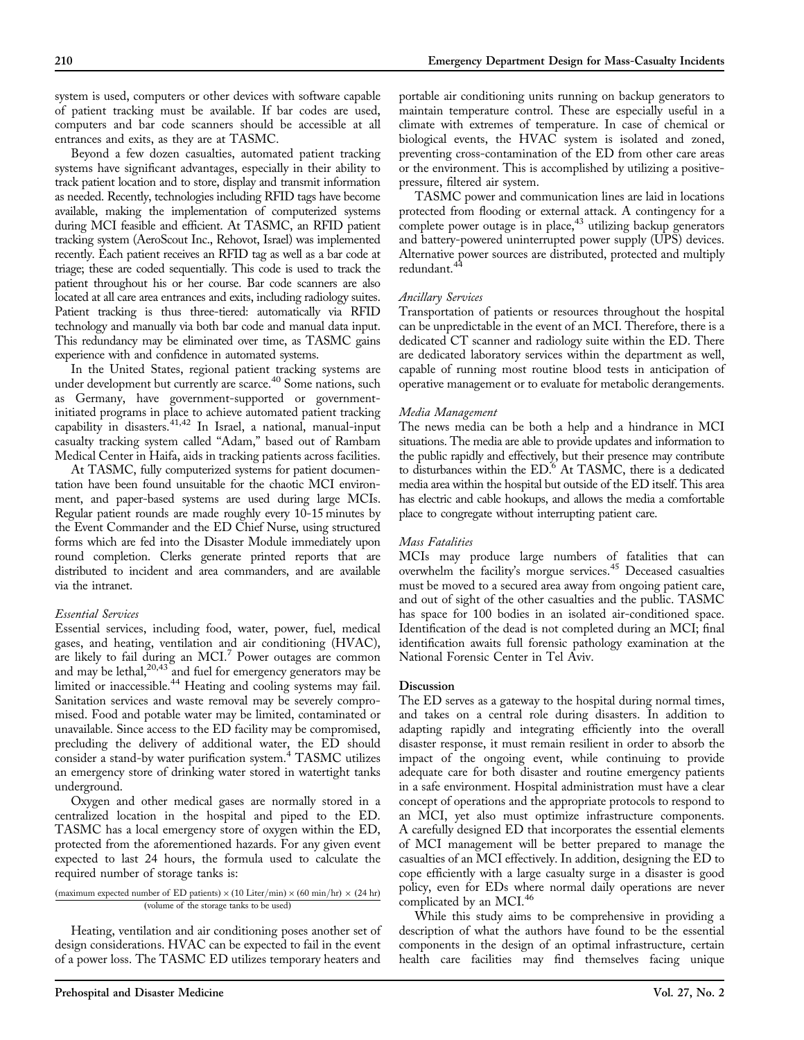system is used, computers or other devices with software capable of patient tracking must be available. If bar codes are used, computers and bar code scanners should be accessible at all entrances and exits, as they are at TASMC.

Beyond a few dozen casualties, automated patient tracking systems have significant advantages, especially in their ability to track patient location and to store, display and transmit information as needed. Recently, technologies including RFID tags have become available, making the implementation of computerized systems during MCI feasible and efficient. At TASMC, an RFID patient tracking system (AeroScout Inc., Rehovot, Israel) was implemented recently. Each patient receives an RFID tag as well as a bar code at triage; these are coded sequentially. This code is used to track the patient throughout his or her course. Bar code scanners are also located at all care area entrances and exits, including radiology suites. Patient tracking is thus three-tiered: automatically via RFID technology and manually via both bar code and manual data input. This redundancy may be eliminated over time, as TASMC gains experience with and confidence in automated systems.

In the United States, regional patient tracking systems are under development but currently are scarce.<sup>40</sup> Some nations, such as Germany, have government-supported or governmentinitiated programs in place to achieve automated patient tracking capability in disasters.<sup>41,42</sup> In Israel, a national, manual-input casualty tracking system called ''Adam,'' based out of Rambam Medical Center in Haifa, aids in tracking patients across facilities.

At TASMC, fully computerized systems for patient documentation have been found unsuitable for the chaotic MCI environment, and paper-based systems are used during large MCIs. Regular patient rounds are made roughly every 10-15 minutes by the Event Commander and the ED Chief Nurse, using structured forms which are fed into the Disaster Module immediately upon round completion. Clerks generate printed reports that are distributed to incident and area commanders, and are available via the intranet.

# Essential Services

Essential services, including food, water, power, fuel, medical gases, and heating, ventilation and air conditioning (HVAC), are likely to fail during an MCI.<sup>7</sup> Power outages are common and may be lethal, $20,43$  and fuel for emergency generators may be limited or inaccessible.<sup>44</sup> Heating and cooling systems may fail. Sanitation services and waste removal may be severely compromised. Food and potable water may be limited, contaminated or unavailable. Since access to the ED facility may be compromised, precluding the delivery of additional water, the ED should consider a stand-by water purification system.<sup>4</sup> TASMC utilizes an emergency store of drinking water stored in watertight tanks underground.

Oxygen and other medical gases are normally stored in a centralized location in the hospital and piped to the ED. TASMC has a local emergency store of oxygen within the ED, protected from the aforementioned hazards. For any given event expected to last 24 hours, the formula used to calculate the required number of storage tanks is:

$$
\frac{\text{(maximum expected number of ED patients)} \times (10 \text{ Liter/min}) \times (60 \text{ min/hr}) \times (24 \text{ hr})}{\text{(volume of the storage tanks to be used)}}
$$

Heating, ventilation and air conditioning poses another set of design considerations. HVAC can be expected to fail in the event of a power loss. The TASMC ED utilizes temporary heaters and portable air conditioning units running on backup generators to maintain temperature control. These are especially useful in a climate with extremes of temperature. In case of chemical or biological events, the HVAC system is isolated and zoned, preventing cross-contamination of the ED from other care areas or the environment. This is accomplished by utilizing a positivepressure, filtered air system.

TASMC power and communication lines are laid in locations protected from flooding or external attack. A contingency for a complete power outage is in place, $43$  utilizing backup generators and battery-powered uninterrupted power supply (UPS) devices. Alternative power sources are distributed, protected and multiply redundant.<sup>44</sup>

# Ancillary Services

Transportation of patients or resources throughout the hospital can be unpredictable in the event of an MCI. Therefore, there is a dedicated CT scanner and radiology suite within the ED. There are dedicated laboratory services within the department as well, capable of running most routine blood tests in anticipation of operative management or to evaluate for metabolic derangements.

# Media Management

The news media can be both a help and a hindrance in MCI situations. The media are able to provide updates and information to the public rapidly and effectively, but their presence may contribute to disturbances within the ED.<sup>6</sup> At TASMC, there is a dedicated media area within the hospital but outside of the ED itself. This area has electric and cable hookups, and allows the media a comfortable place to congregate without interrupting patient care.

#### Mass Fatalities

MCIs may produce large numbers of fatalities that can overwhelm the facility's morgue services.<sup>45</sup> Deceased casualties must be moved to a secured area away from ongoing patient care, and out of sight of the other casualties and the public. TASMC has space for 100 bodies in an isolated air-conditioned space. Identification of the dead is not completed during an MCI; final identification awaits full forensic pathology examination at the National Forensic Center in Tel Aviv.

# **Discussion**

The ED serves as a gateway to the hospital during normal times, and takes on a central role during disasters. In addition to adapting rapidly and integrating efficiently into the overall disaster response, it must remain resilient in order to absorb the impact of the ongoing event, while continuing to provide adequate care for both disaster and routine emergency patients in a safe environment. Hospital administration must have a clear concept of operations and the appropriate protocols to respond to an MCI, yet also must optimize infrastructure components. A carefully designed ED that incorporates the essential elements of MCI management will be better prepared to manage the casualties of an MCI effectively. In addition, designing the ED to cope efficiently with a large casualty surge in a disaster is good policy, even for EDs where normal daily operations are never complicated by an MCI.<sup>46</sup>

While this study aims to be comprehensive in providing a description of what the authors have found to be the essential components in the design of an optimal infrastructure, certain health care facilities may find themselves facing unique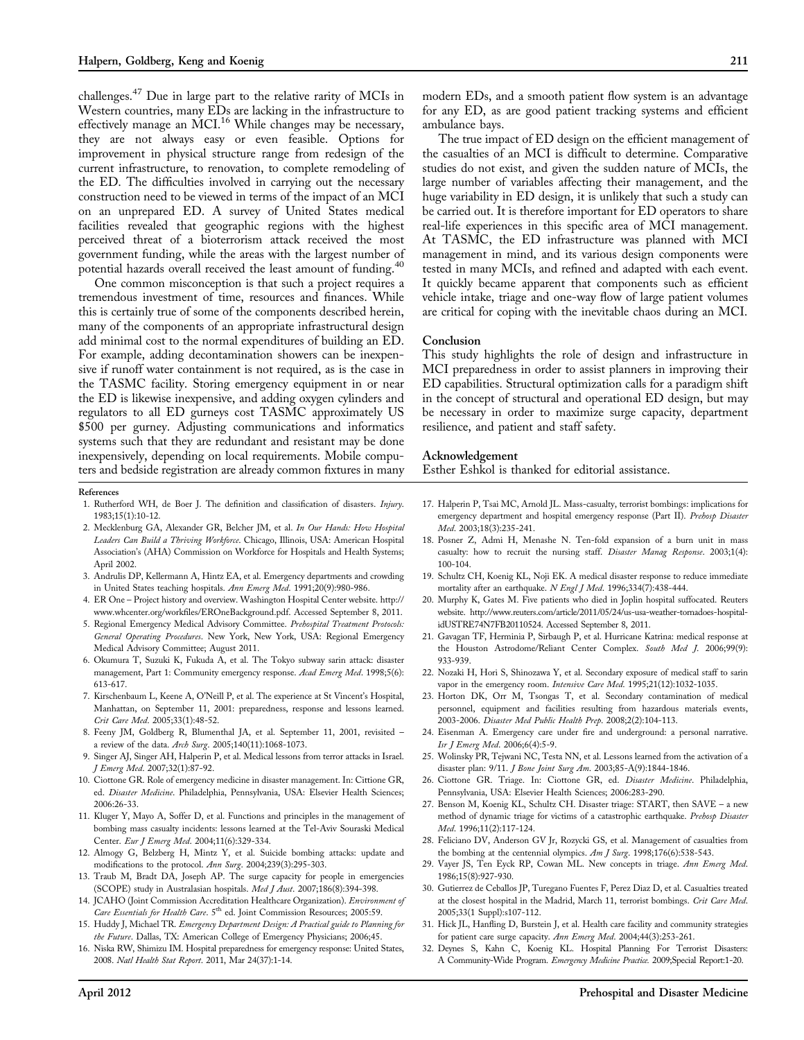challenges.<sup>47</sup> Due in large part to the relative rarity of MCIs in Western countries, many EDs are lacking in the infrastructure to effectively manage an MCI.<sup>16</sup> While changes may be necessary, they are not always easy or even feasible. Options for improvement in physical structure range from redesign of the current infrastructure, to renovation, to complete remodeling of the ED. The difficulties involved in carrying out the necessary construction need to be viewed in terms of the impact of an MCI on an unprepared ED. A survey of United States medical facilities revealed that geographic regions with the highest perceived threat of a bioterrorism attack received the most government funding, while the areas with the largest number of potential hazards overall received the least amount of funding.<sup>40</sup>

One common misconception is that such a project requires a tremendous investment of time, resources and finances. While this is certainly true of some of the components described herein, many of the components of an appropriate infrastructural design add minimal cost to the normal expenditures of building an ED. For example, adding decontamination showers can be inexpensive if runoff water containment is not required, as is the case in the TASMC facility. Storing emergency equipment in or near the ED is likewise inexpensive, and adding oxygen cylinders and regulators to all ED gurneys cost TASMC approximately US \$500 per gurney. Adjusting communications and informatics systems such that they are redundant and resistant may be done inexpensively, depending on local requirements. Mobile computers and bedside registration are already common fixtures in many

#### References

- 1. Rutherford WH, de Boer J. The definition and classification of disasters. Injury. 1983;15(1):10-12.
- 2. Mecklenburg GA, Alexander GR, Belcher JM, et al. In Our Hands: How Hospital Leaders Can Build a Thriving Workforce. Chicago, Illinois, USA: American Hospital Association's (AHA) Commission on Workforce for Hospitals and Health Systems; April 2002.
- 3. Andrulis DP, Kellermann A, Hintz EA, et al. Emergency departments and crowding in United States teaching hospitals. Ann Emerg Med. 1991;20(9):980-986.
- 4. ER One Project history and overview. Washington Hospital Center website. http:// www.whcenter.org/workfiles/EROneBackground.pdf. Accessed September 8, 2011.
- 5. Regional Emergency Medical Advisory Committee. Prehospital Treatment Protocols: General Operating Procedures. New York, New York, USA: Regional Emergency Medical Advisory Committee; August 2011.
- 6. Okumura T, Suzuki K, Fukuda A, et al. The Tokyo subway sarin attack: disaster management, Part 1: Community emergency response. Acad Emerg Med. 1998;5(6): 613-617.
- 7. Kirschenbaum L, Keene A, O'Neill P, et al. The experience at St Vincent's Hospital, Manhattan, on September 11, 2001: preparedness, response and lessons learned. Crit Care Med. 2005;33(1):48-52.
- 8. Feeny JM, Goldberg R, Blumenthal JA, et al. September 11, 2001, revisited a review of the data. Arch Surg. 2005;140(11):1068-1073.
- 9. Singer AJ, Singer AH, Halperin P, et al. Medical lessons from terror attacks in Israel. J Emerg Med. 2007;32(1):87-92.
- 10. Ciottone GR. Role of emergency medicine in disaster management. In: Cittione GR, ed. Disaster Medicine. Philadelphia, Pennsylvania, USA: Elsevier Health Sciences; 2006:26-33.
- 11. Kluger Y, Mayo A, Soffer D, et al. Functions and principles in the management of bombing mass casualty incidents: lessons learned at the Tel-Aviv Souraski Medical Center. Eur J Emerg Med. 2004;11(6):329-334.
- 12. Almogy G, Belzberg H, Mintz Y, et al. Suicide bombing attacks: update and modifications to the protocol. Ann Surg. 2004;239(3):295-303.
- 13. Traub M, Bradt DA, Joseph AP. The surge capacity for people in emergencies (SCOPE) study in Australasian hospitals. Med J Aust. 2007;186(8):394-398.
- 14. JCAHO (Joint Commission Accreditation Healthcare Organization). Environment of Care Essentials for Health Care. 5<sup>th</sup> ed. Joint Commission Resources; 2005:59.
- 15. Huddy J, Michael TR. Emergency Department Design: A Practical guide to Planning for the Future. Dallas, TX: American College of Emergency Physicians; 2006;45.
- 16. Niska RW, Shimizu IM. Hospital preparedness for emergency response: United States, 2008. Natl Health Stat Report. 2011, Mar 24(37):1-14.

modern EDs, and a smooth patient flow system is an advantage for any ED, as are good patient tracking systems and efficient ambulance bays.

The true impact of ED design on the efficient management of the casualties of an MCI is difficult to determine. Comparative studies do not exist, and given the sudden nature of MCIs, the large number of variables affecting their management, and the huge variability in ED design, it is unlikely that such a study can be carried out. It is therefore important for ED operators to share real-life experiences in this specific area of MCI management. At TASMC, the ED infrastructure was planned with MCI management in mind, and its various design components were tested in many MCIs, and refined and adapted with each event. It quickly became apparent that components such as efficient vehicle intake, triage and one-way flow of large patient volumes are critical for coping with the inevitable chaos during an MCI.

# Conclusion

This study highlights the role of design and infrastructure in MCI preparedness in order to assist planners in improving their ED capabilities. Structural optimization calls for a paradigm shift in the concept of structural and operational ED design, but may be necessary in order to maximize surge capacity, department resilience, and patient and staff safety.

# Acknowledgement

Esther Eshkol is thanked for editorial assistance.

- 17. Halperin P, Tsai MC, Arnold JL. Mass-casualty, terrorist bombings: implications for emergency department and hospital emergency response (Part II). Prehosp Disaster Med. 2003;18(3):235-241.
- 18. Posner Z, Admi H, Menashe N. Ten-fold expansion of a burn unit in mass casualty: how to recruit the nursing staff. Disaster Manag Response. 2003;1(4): 100-104.
- 19. Schultz CH, Koenig KL, Noji EK. A medical disaster response to reduce immediate mortality after an earthquake. N Engl J Med. 1996;334(7):438-444.
- 20. Murphy K, Gates M. Five patients who died in Joplin hospital suffocated. Reuters website. http://www.reuters.com/article/2011/05/24/us-usa-weather-tornadoes-hospitalidUSTRE74N7FB20110524. Accessed September 8, 2011.
- 21. Gavagan TF, Herminia P, Sirbaugh P, et al. Hurricane Katrina: medical response at the Houston Astrodome/Reliant Center Complex. South Med J. 2006;99(9): 933-939.
- 22. Nozaki H, Hori S, Shinozawa Y, et al. Secondary exposure of medical staff to sarin vapor in the emergency room. Intensive Care Med. 1995;21(12):1032-1035.
- 23. Horton DK, Orr M, Tsongas T, et al. Secondary contamination of medical personnel, equipment and facilities resulting from hazardous materials events, 2003-2006. Disaster Med Public Health Prep. 2008;2(2):104-113.
- 24. Eisenman A. Emergency care under fire and underground: a personal narrative. Isr J Emerg Med. 2006;6(4):5-9.
- 25. Wolinsky PR, Tejwani NC, Testa NN, et al. Lessons learned from the activation of a disaster plan: 9/11. *J Bone Joint Surg Am*. 2003;85-A(9):1844-1846.
- 26. Ciottone GR. Triage. In: Ciottone GR, ed. Disaster Medicine. Philadelphia, Pennsylvania, USA: Elsevier Health Sciences; 2006:283-290.
- 27. Benson M, Koenig KL, Schultz CH. Disaster triage: START, then SAVE a new method of dynamic triage for victims of a catastrophic earthquake. Prehosp Disaster Med. 1996;11(2):117-124.
- 28. Feliciano DV, Anderson GV Jr, Rozycki GS, et al. Management of casualties from the bombing at the centennial olympics.  $Am J$  Surg. 1998;176(6):538-543.
- 29. Vayer JS, Ten Eyck RP, Cowan ML. New concepts in triage. Ann Emerg Med. 1986;15(8):927-930.
- 30. Gutierrez de Ceballos JP, Turegano Fuentes F, Perez Diaz D, et al. Casualties treated at the closest hospital in the Madrid, March 11, terrorist bombings. Crit Care Med. 2005;33(1 Suppl):s107-112.
- 31. Hick JL, Hanfling D, Burstein J, et al. Health care facility and community strategies for patient care surge capacity. Ann Emerg Med. 2004;44(3):253-261.
- 32. Deynes S, Kahn C, Koenig KL. Hospital Planning For Terrorist Disasters: A Community-Wide Program. Emergency Medicine Practice. 2009;Special Report:1-20.